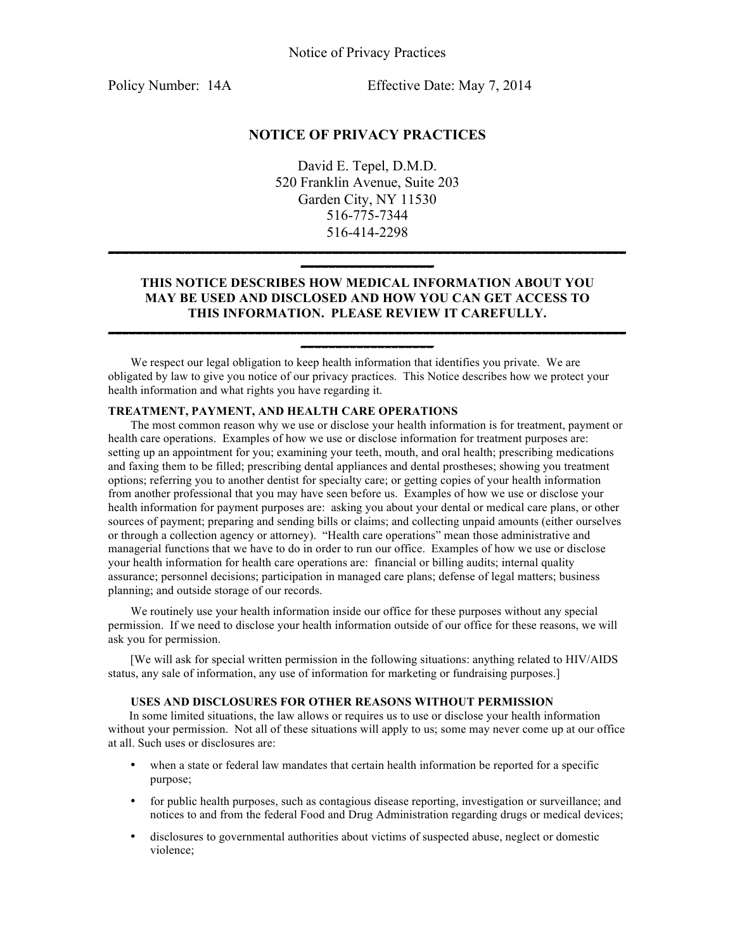## **NOTICE OF PRIVACY PRACTICES**

David E. Tepel, D.M.D. 520 Franklin Avenue, Suite 203 Garden City, NY 11530 516-775-7344 516-414-2298

**\_\_\_\_\_\_\_\_\_\_\_\_\_\_\_\_\_\_\_\_\_\_\_\_\_\_\_\_\_\_\_\_\_\_\_\_\_\_\_\_\_\_\_\_\_\_\_\_\_\_\_\_\_\_\_\_\_\_\_\_\_\_\_\_\_\_\_\_\_\_\_\_\_\_ \_\_\_\_\_\_\_\_\_\_\_\_\_\_\_\_\_\_\_** 

# **THIS NOTICE DESCRIBES HOW MEDICAL INFORMATION ABOUT YOU MAY BE USED AND DISCLOSED AND HOW YOU CAN GET ACCESS TO THIS INFORMATION. PLEASE REVIEW IT CAREFULLY.**

**\_\_\_\_\_\_\_\_\_\_\_\_\_\_\_\_\_\_\_\_\_\_\_\_\_\_\_\_\_\_\_\_\_\_\_\_\_\_\_\_\_\_\_\_\_\_\_\_\_\_\_\_\_\_\_\_\_\_\_\_\_\_\_\_\_\_\_\_\_\_\_\_\_\_ \_\_\_\_\_\_\_\_\_\_\_\_\_\_\_\_\_\_\_** 

We respect our legal obligation to keep health information that identifies you private. We are obligated by law to give you notice of our privacy practices. This Notice describes how we protect your health information and what rights you have regarding it.

## **TREATMENT, PAYMENT, AND HEALTH CARE OPERATIONS**

The most common reason why we use or disclose your health information is for treatment, payment or health care operations. Examples of how we use or disclose information for treatment purposes are: setting up an appointment for you; examining your teeth, mouth, and oral health; prescribing medications and faxing them to be filled; prescribing dental appliances and dental prostheses; showing you treatment options; referring you to another dentist for specialty care; or getting copies of your health information from another professional that you may have seen before us. Examples of how we use or disclose your health information for payment purposes are: asking you about your dental or medical care plans, or other sources of payment; preparing and sending bills or claims; and collecting unpaid amounts (either ourselves or through a collection agency or attorney). "Health care operations" mean those administrative and managerial functions that we have to do in order to run our office. Examples of how we use or disclose your health information for health care operations are: financial or billing audits; internal quality assurance; personnel decisions; participation in managed care plans; defense of legal matters; business planning; and outside storage of our records.

We routinely use your health information inside our office for these purposes without any special permission. If we need to disclose your health information outside of our office for these reasons, we will ask you for permission.

[We will ask for special written permission in the following situations: anything related to HIV/AIDS status, any sale of information, any use of information for marketing or fundraising purposes.]

### **USES AND DISCLOSURES FOR OTHER REASONS WITHOUT PERMISSION**

In some limited situations, the law allows or requires us to use or disclose your health information without your permission. Not all of these situations will apply to us; some may never come up at our office at all. Such uses or disclosures are:

- when a state or federal law mandates that certain health information be reported for a specific purpose;
- for public health purposes, such as contagious disease reporting, investigation or surveillance; and notices to and from the federal Food and Drug Administration regarding drugs or medical devices;
- disclosures to governmental authorities about victims of suspected abuse, neglect or domestic violence;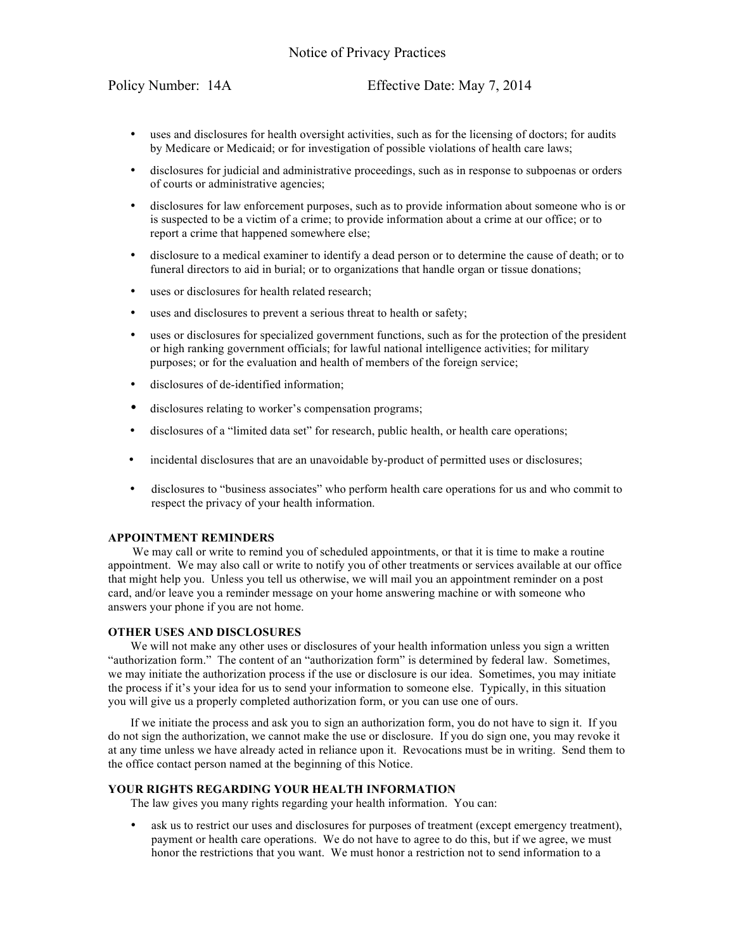- uses and disclosures for health oversight activities, such as for the licensing of doctors; for audits by Medicare or Medicaid; or for investigation of possible violations of health care laws;
- disclosures for judicial and administrative proceedings, such as in response to subpoenas or orders of courts or administrative agencies;
- disclosures for law enforcement purposes, such as to provide information about someone who is or is suspected to be a victim of a crime; to provide information about a crime at our office; or to report a crime that happened somewhere else;
- disclosure to a medical examiner to identify a dead person or to determine the cause of death; or to funeral directors to aid in burial; or to organizations that handle organ or tissue donations;
- uses or disclosures for health related research;
- uses and disclosures to prevent a serious threat to health or safety;
- uses or disclosures for specialized government functions, such as for the protection of the president or high ranking government officials; for lawful national intelligence activities; for military purposes; or for the evaluation and health of members of the foreign service;
- disclosures of de-identified information;
- disclosures relating to worker's compensation programs;
- disclosures of a "limited data set" for research, public health, or health care operations;
- incidental disclosures that are an unavoidable by-product of permitted uses or disclosures;
- disclosures to "business associates" who perform health care operations for us and who commit to respect the privacy of your health information.

#### **APPOINTMENT REMINDERS**

We may call or write to remind you of scheduled appointments, or that it is time to make a routine appointment. We may also call or write to notify you of other treatments or services available at our office that might help you. Unless you tell us otherwise, we will mail you an appointment reminder on a post card, and/or leave you a reminder message on your home answering machine or with someone who answers your phone if you are not home.

### **OTHER USES AND DISCLOSURES**

We will not make any other uses or disclosures of your health information unless you sign a written "authorization form." The content of an "authorization form" is determined by federal law. Sometimes, we may initiate the authorization process if the use or disclosure is our idea. Sometimes, you may initiate the process if it's your idea for us to send your information to someone else. Typically, in this situation you will give us a properly completed authorization form, or you can use one of ours.

If we initiate the process and ask you to sign an authorization form, you do not have to sign it. If you do not sign the authorization, we cannot make the use or disclosure. If you do sign one, you may revoke it at any time unless we have already acted in reliance upon it. Revocations must be in writing. Send them to the office contact person named at the beginning of this Notice.

#### **YOUR RIGHTS REGARDING YOUR HEALTH INFORMATION**

The law gives you many rights regarding your health information. You can:

• ask us to restrict our uses and disclosures for purposes of treatment (except emergency treatment), payment or health care operations. We do not have to agree to do this, but if we agree, we must honor the restrictions that you want. We must honor a restriction not to send information to a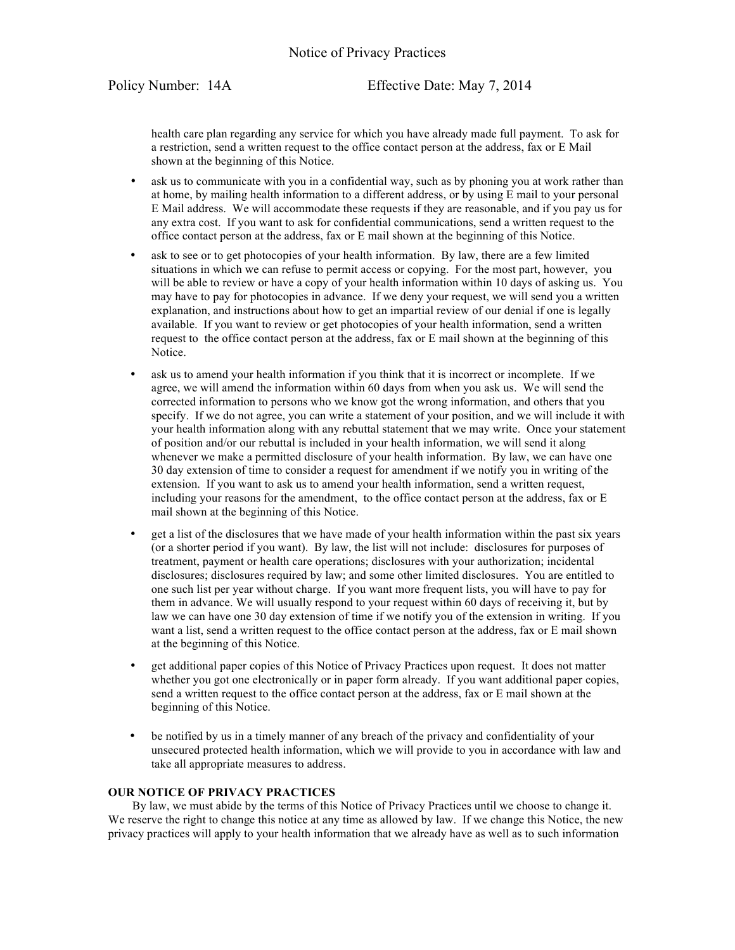health care plan regarding any service for which you have already made full payment. To ask for a restriction, send a written request to the office contact person at the address, fax or E Mail shown at the beginning of this Notice.

- ask us to communicate with you in a confidential way, such as by phoning you at work rather than at home, by mailing health information to a different address, or by using E mail to your personal E Mail address. We will accommodate these requests if they are reasonable, and if you pay us for any extra cost. If you want to ask for confidential communications, send a written request to the office contact person at the address, fax or E mail shown at the beginning of this Notice.
- ask to see or to get photocopies of your health information. By law, there are a few limited situations in which we can refuse to permit access or copying. For the most part, however, you will be able to review or have a copy of your health information within 10 days of asking us. You may have to pay for photocopies in advance. If we deny your request, we will send you a written explanation, and instructions about how to get an impartial review of our denial if one is legally available. If you want to review or get photocopies of your health information, send a written request to the office contact person at the address, fax or E mail shown at the beginning of this Notice.
- ask us to amend your health information if you think that it is incorrect or incomplete. If we agree, we will amend the information within 60 days from when you ask us. We will send the corrected information to persons who we know got the wrong information, and others that you specify. If we do not agree, you can write a statement of your position, and we will include it with your health information along with any rebuttal statement that we may write. Once your statement of position and/or our rebuttal is included in your health information, we will send it along whenever we make a permitted disclosure of your health information. By law, we can have one 30 day extension of time to consider a request for amendment if we notify you in writing of the extension. If you want to ask us to amend your health information, send a written request, including your reasons for the amendment, to the office contact person at the address, fax or E mail shown at the beginning of this Notice.
- get a list of the disclosures that we have made of your health information within the past six years (or a shorter period if you want). By law, the list will not include: disclosures for purposes of treatment, payment or health care operations; disclosures with your authorization; incidental disclosures; disclosures required by law; and some other limited disclosures. You are entitled to one such list per year without charge. If you want more frequent lists, you will have to pay for them in advance. We will usually respond to your request within 60 days of receiving it, but by law we can have one 30 day extension of time if we notify you of the extension in writing. If you want a list, send a written request to the office contact person at the address, fax or E mail shown at the beginning of this Notice.
- get additional paper copies of this Notice of Privacy Practices upon request. It does not matter whether you got one electronically or in paper form already. If you want additional paper copies, send a written request to the office contact person at the address, fax or E mail shown at the beginning of this Notice.
- be notified by us in a timely manner of any breach of the privacy and confidentiality of your unsecured protected health information, which we will provide to you in accordance with law and take all appropriate measures to address.

## **OUR NOTICE OF PRIVACY PRACTICES**

By law, we must abide by the terms of this Notice of Privacy Practices until we choose to change it. We reserve the right to change this notice at any time as allowed by law. If we change this Notice, the new privacy practices will apply to your health information that we already have as well as to such information